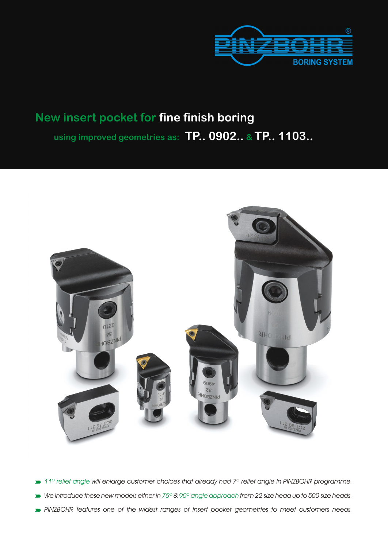

# **New insert pocket for fine finish boring using improved geometries as: TP.. 0902.. & TP.. 1103..**



- *11º relief angle will enlarge customer choices that already had 7º relief angle in PINZBOHR programme.*
- *We introduce these new models either in 75º & 90º angle approach from 22 size head up to 500 size heads.*
- *PINZBOHR features one of the widest ranges of insert pocket geometries to meet customers needs.*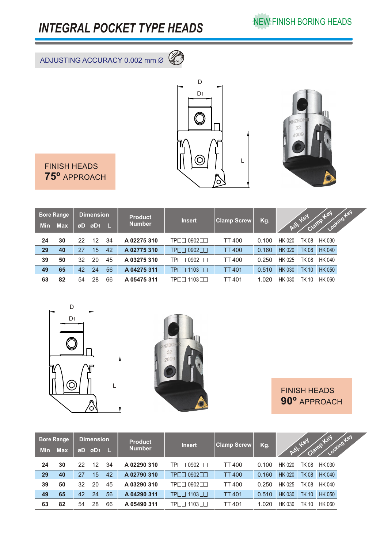## *INTEGRAL POCKET TYPE HEADS*

ADJUSTING ACCURACY 0.002 mm Ø **0 2**





J.

FINISH HEADS **75º** APPROACH

| <b>Min</b> | <b>Bore Range</b><br><b>Max</b> | øD | <b>Dimension</b><br>øD <sub>1</sub> |    | <b>Product</b><br><b>Number</b> | <b>Insert</b> | <b>Clamp Screw</b> | Kg.   |               | Oi. Key      | Locking Key<br>Clamp Key |
|------------|---------------------------------|----|-------------------------------------|----|---------------------------------|---------------|--------------------|-------|---------------|--------------|--------------------------|
| 24         | 30                              | 22 | 12                                  | 34 | A02275310                       | TP∏∏ 0902∏∏   | <b>TT 400</b>      | 0.100 | HK 020        | <b>TK 08</b> | <b>HK 030</b>            |
| 29         | 40                              | 27 | 15                                  | 42 | A02775310                       | TP□□ 0902□□   | <b>TT 400</b>      | 0.160 | <b>HK 020</b> | <b>TK 08</b> | <b>HK 040</b>            |
| 39         | 50                              | 32 | 20                                  | 45 | A03275310                       | TP□□ 0902□□   | TT 400             | 0.250 | HK 025        | <b>TK 08</b> | <b>HK 040</b>            |
| 49         | 65                              | 42 | 24                                  | 56 | A 04275 311                     | TP□□ 1103□□   | <b>TT 401</b>      | 0.510 | <b>HK 030</b> | <b>TK 10</b> | <b>HK 050</b>            |
| 63         | 82                              | 54 | 28                                  | 66 | A 05475 311                     | TP⊟⊟ 1103⊟⊟   | TT 401             | 1.020 | <b>HK 030</b> | TK 10        | <b>HK 060</b>            |





FINISH HEADS **90º** APPROACH

| <b>Min</b> | <b>Bore Range</b><br><b>Max</b> | øD | <b>Dimension</b><br>ØD <sub>1</sub> L |    | <b>Product</b><br><b>Number</b> | <b>Insert</b>               | <b>Clamp Screw</b> | Kg.   | Adj           | tel<br>Clamp - | Locking Key<br>Tel |  |
|------------|---------------------------------|----|---------------------------------------|----|---------------------------------|-----------------------------|--------------------|-------|---------------|----------------|--------------------|--|
| 24         | 30                              | 22 | 12                                    | 34 | A02290310                       | 0902<br><b>TPOO</b>         | <b>TT 400</b>      | 0.100 | <b>HK 020</b> | <b>TK 08</b>   | HK 030             |  |
| 29         | 40                              | 27 | 15                                    | 42 | A02790310                       | 0902<br><b>TP</b>           | <b>TT 400</b>      | 0.160 | <b>HK 020</b> | <b>TK08</b>    | <b>HK 040</b>      |  |
| 39         | 50                              | 32 | 20                                    | 45 | A03290310                       | $0902$ $\Pi$<br>TPNN        | <b>TT 400</b>      | 0.250 | HK 025        | <b>TK 08</b>   | HK 040             |  |
| 49         | 65                              | 42 | 24                                    | 56 | A 04290 311                     | TP□□ 1103□□                 | <b>TT 401</b>      | 0.510 | <b>HK 030</b> | <b>TK 10</b>   | <b>HK 050</b>      |  |
| 63         | 82                              | 54 | 28                                    | 66 | A 05490 311                     | 1103<br>TPI<br>$\mathbb{L}$ | <b>TT 401</b>      | 1.020 | <b>HK 030</b> | TK 10          | <b>HK 060</b>      |  |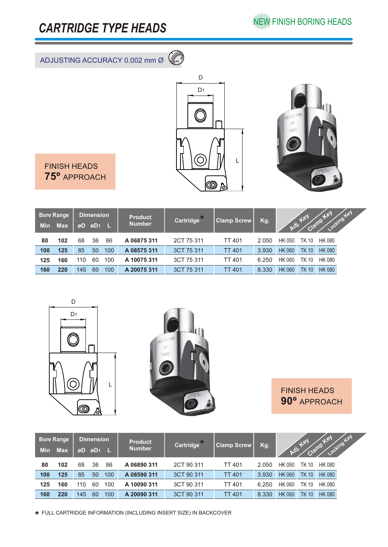### *CARTRIDGE TYPE HEADS*

NEW FINISH BORING HEADS

#### ADJUSTING ACCURACY 0.002 mm Ø **<sup>0</sup> 221119**





FINISH HEADS **75º** APPROACH

| <b>Min</b> | <b>Bore Range</b><br><b>Max</b> | <b>Dimension</b><br>$ØD1$ L<br>øD |    |     | <b>Product</b><br><b>Number</b> | Cartridge <sup>*</sup> | <b>Clamp Screw</b> | Kg.   | Adj.          | tex<br>Clamp | odting tex<br>TOY |
|------------|---------------------------------|-----------------------------------|----|-----|---------------------------------|------------------------|--------------------|-------|---------------|--------------|-------------------|
| 80         | 102                             | 68                                | 36 | 86  | A 06875 311                     | 2CT 75 311             | <b>TT 401</b>      | 2.050 | HK 050        | TK 10        | HK 080            |
| 100        | 125                             | 85                                | 50 | 100 | A 08575 311                     | 3CT 75 311             | <b>TT 401</b>      | 3.930 | <b>HK 060</b> | <b>TK 10</b> | <b>HK 080</b>     |
| 125        | 160                             | 110                               | 60 | 100 | A 10075 311                     | 3CT 75 311             | TT 401             | 6.250 | <b>HK 060</b> | TK 10        | HK 080            |
| 160        | 220                             | 145                               | 60 | 100 | A 20075 311                     | 3CT 75 311             | <b>TT 401</b>      | 8.330 | <b>HK 060</b> | <b>TK 10</b> | <b>HK 080</b>     |





FINISH HEADS **90º** APPROACH

| <b>Min</b> | <b>Bore Range</b><br><b>Max</b> | <b>Dimension</b><br>øD<br>$\boldsymbol{\varnothing}$ D <sub>1</sub> L |    |     |             |            | <b>Product</b><br><b>Number</b> | <b>Cartridge</b> <sup>13</sup> | <b>Clamp Screw</b> | Kg.          | $\delta y$    | tey | ocking Key<br>TEX |  |
|------------|---------------------------------|-----------------------------------------------------------------------|----|-----|-------------|------------|---------------------------------|--------------------------------|--------------------|--------------|---------------|-----|-------------------|--|
| 80         | 102                             | 68                                                                    | 36 | 86  | A06890311   | 2CT 90 311 | <b>TT 401</b>                   | 2.050                          | <b>HK 050</b>      | TK 10        | <b>HK 080</b> |     |                   |  |
| 100        | 125                             | 85                                                                    | 50 | 100 | A 08590 311 | 3CT 90 311 | <b>TT 401</b>                   | 3.930                          | <b>HK 060</b>      | <b>TK 10</b> | <b>HK 080</b> |     |                   |  |
| 125        | 160                             | 110                                                                   | 60 | 100 | A 10090 311 | 3CT 90 311 | <b>TT 401</b>                   | 6.250                          | <b>HK 060</b>      | TK 10        | <b>HK 080</b> |     |                   |  |
| 160        | 220                             | 145                                                                   | 60 | 100 | A 20090 311 | 3CT 90 311 | <b>TT 401</b>                   | 8.330                          | <b>HK 060</b>      | <b>TK 10</b> | <b>HK 080</b> |     |                   |  |

FULL CARTRIDGE INFORMATION (INCLUDING INSERT SIZE) IN BACKCOVER \*